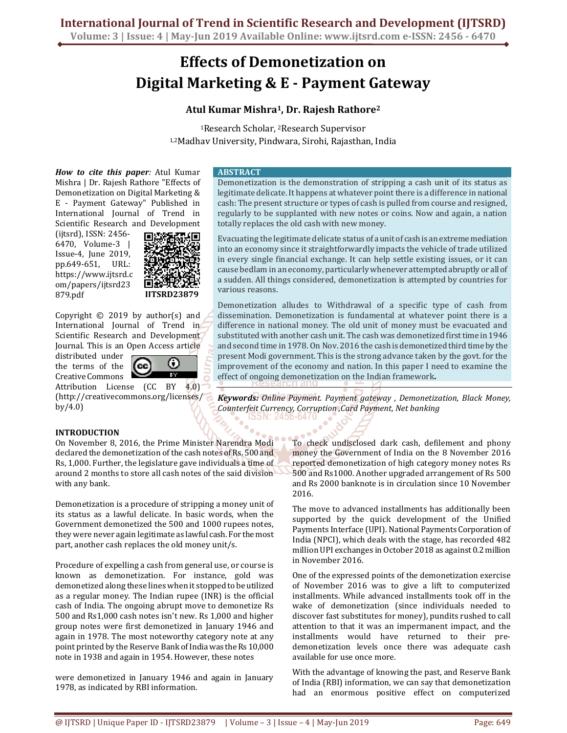# **Effects of Demonetization on Digital Marketing & E - Payment Gateway**

## **Atul Kumar Mishra<sup>1</sup>, Dr. Rajesh Rathore<sup>2</sup>**

<sup>1</sup>Research Scholar, 2Research Supervisor 1,2Madhav University, Pindwara, Sirohi, Rajasthan, India

*How to cite this paper:* Atul Kumar Mishra | Dr. Rajesh Rathore "Effects of Demonetization on Digital Marketing & E - Payment Gateway" Published in International Journal of Trend in Scientific Research and Development

(ijtsrd), ISSN: 2456- 6470, Volume-3 | Issue-4, June 2019, pp.649-651, URL: https://www.ijtsrd.c om/papers/ijtsrd23 879.pdf



Copyright  $\odot$  2019 by author(s) and International Journal of Trend in Scientific Research and Development Journal. This is an Open Access article

distributed under the terms of the Creative Commons



Attribution License (CC BY 4.0) (http://creativecommons.org/licenses/ by/4.0)

### **INTRODUCTION**

On November 8, 2016, the Prime Minister Narendra Modi declared the demonetization of the cash notes of Rs. 500 and Rs, 1,000. Further, the legislature gave individuals a time of around 2 months to store all cash notes of the said division with any bank.

Demonetization is a procedure of stripping a money unit of its status as a lawful delicate. In basic words, when the Government demonetized the 500 and 1000 rupees notes, they were never again legitimate as lawful cash. For the most part, another cash replaces the old money unit/s.

Procedure of expelling a cash from general use, or course is known as demonetization. For instance, gold was demonetized along these lines when it stopped to be utilized as a regular money. The Indian rupee (INR) is the official cash of India. The ongoing abrupt move to demonetize Rs 500 and Rs1,000 cash notes isn't new. Rs 1,000 and higher group notes were first demonetized in January 1946 and again in 1978. The most noteworthy category note at any point printed by the Reserve Bank of India was the Rs 10,000 note in 1938 and again in 1954. However, these notes

were demonetized in January 1946 and again in January 1978, as indicated by RBI information.

#### **ABSTRACT**

Demonetization is the demonstration of stripping a cash unit of its status as legitimate delicate. It happens at whatever point there is a difference in national cash: The present structure or types of cash is pulled from course and resigned, regularly to be supplanted with new notes or coins. Now and again, a nation totally replaces the old cash with new money.

Evacuating the legitimate delicate status of a unit of cash is an extreme mediation into an economy since it straightforwardly impacts the vehicle of trade utilized in every single financial exchange. It can help settle existing issues, or it can cause bedlam in an economy, particularly whenever attempted abruptly or all of a sudden. All things considered, demonetization is attempted by countries for various reasons.

Demonetization alludes to Withdrawal of a specific type of cash from dissemination. Demonetization is fundamental at whatever point there is a difference in national money. The old unit of money must be evacuated and substituted with another cash unit. The cash was demonetized first time in 1946 and second time in 1978. On Nov. 2016 the cash is demonetized third time by the present Modi government. This is the strong advance taken by the govt. for the improvement of the economy and nation. In this paper I need to examine the effect of ongoing demonetization on the Indian framework**.**

*Keywords: Online Payment. Payment gateway , Demonetization, Black Money, Counterfeit Currency, Corruption ,Card Payment, Net banking*  56-6470

> To check undisclosed dark cash, defilement and phony money the Government of India on the 8 November 2016 reported demonetization of high category money notes Rs 500 and Rs1000. Another upgraded arrangement of Rs 500 and Rs 2000 banknote is in circulation since 10 November 2016.

> The move to advanced installments has additionally been supported by the quick development of the Unified Payments Interface (UPI). National Payments Corporation of India (NPCI), which deals with the stage, has recorded 482 million UPI exchanges in October 2018 as against 0.2 million in November 2016.

> One of the expressed points of the demonetization exercise of November 2016 was to give a lift to computerized installments. While advanced installments took off in the wake of demonetization (since individuals needed to discover fast substitutes for money), pundits rushed to call attention to that it was an impermanent impact, and the installments would have returned to their predemonetization levels once there was adequate cash available for use once more.

> With the advantage of knowing the past, and Reserve Bank of India (RBI) information, we can say that demonetization had an enormous positive effect on computerized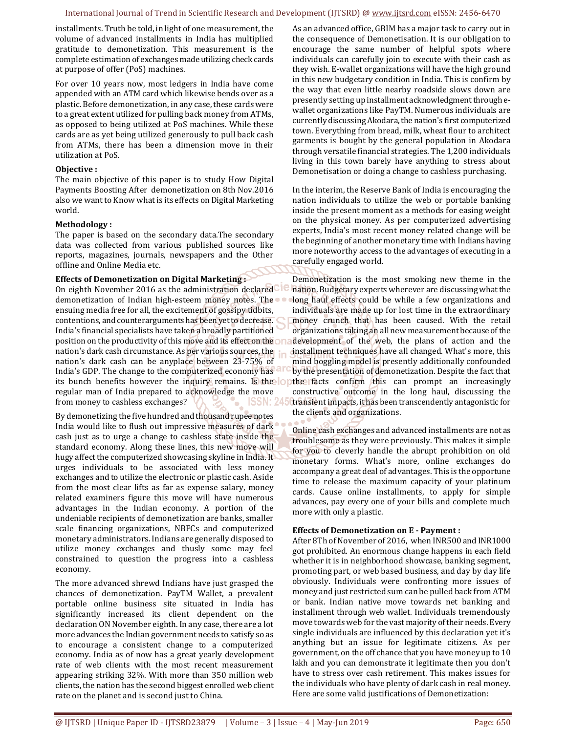#### International Journal of Trend in Scientific Research and Development (IJTSRD) @ www.ijtsrd.com eISSN: 2456-6470

installments. Truth be told, in light of one measurement, the volume of advanced installments in India has multiplied gratitude to demonetization. This measurement is the complete estimation of exchanges made utilizing check cards at purpose of offer (PoS) machines.

For over 10 years now, most ledgers in India have come appended with an ATM card which likewise bends over as a plastic. Before demonetization, in any case, these cards were to a great extent utilized for pulling back money from ATMs, as opposed to being utilized at PoS machines. While these cards are as yet being utilized generously to pull back cash from ATMs, there has been a dimension move in their utilization at PoS.

#### **Objective :**

The main objective of this paper is to study How Digital Payments Boosting After demonetization on 8th Nov.2016 also we want to Know what is its effects on Digital Marketing world.

#### **Methodology :**

The paper is based on the secondary data.The secondary data was collected from various published sources like reports, magazines, journals, newspapers and the Other offline and Online Media etc.

#### **Effects of Demonetization on Digital Marketing :**

On eighth November 2016 as the administration declared demonetization of Indian high-esteem money notes. The ensuing media free for all, the excitement of gossipy tidbits, contentions, and counterarguments has been yet to decrease. India's financial specialists have taken a broadly partitioned position on the productivity of this move and its effect on the on nation's dark cash circumstance. As per various sources, the nation's dark cash can be anyplace between 23-75% of India's GDP. The change to the computerized economy has its bunch benefits however the inquiry remains. Is the lope regular man of India prepared to acknowledge the move from money to cashless exchanges? ISSN: 24

By demonetizing the five hundred and thousand rupee notes India would like to flush out impressive measures of dark cash just as to urge a change to cashless state inside the standard economy. Along these lines, this new move will hugy affect the computerized showcasing skyline in India. It urges individuals to be associated with less money exchanges and to utilize the electronic or plastic cash. Aside from the most clear lifts as far as expense salary, money related examiners figure this move will have numerous advantages in the Indian economy. A portion of the undeniable recipients of demonetization are banks, smaller scale financing organizations, NBFCs and computerized monetary administrators. Indians are generally disposed to utilize money exchanges and thusly some may feel constrained to question the progress into a cashless economy.

The more advanced shrewd Indians have just grasped the chances of demonetization. PayTM Wallet, a prevalent portable online business site situated in India has significantly increased its client dependent on the declaration ON November eighth. In any case, there are a lot more advances the Indian government needs to satisfy so as to encourage a consistent change to a computerized economy. India as of now has a great yearly development rate of web clients with the most recent measurement appearing striking 32%. With more than 350 million web clients, the nation has the second biggest enrolled web client rate on the planet and is second just to China.

As an advanced office, GBIM has a major task to carry out in the consequence of Demonetisation. It is our obligation to encourage the same number of helpful spots where individuals can carefully join to execute with their cash as they wish. E-wallet organizations will have the high ground in this new budgetary condition in India. This is confirm by the way that even little nearby roadside slows down are presently setting up installment acknowledgment through ewallet organizations like PayTM. Numerous individuals are currently discussing Akodara, the nation's first computerized town. Everything from bread, milk, wheat flour to architect garments is bought by the general population in Akodara through versatile financial strategies. The 1,200 individuals living in this town barely have anything to stress about Demonetisation or doing a change to cashless purchasing.

In the interim, the Reserve Bank of India is encouraging the nation individuals to utilize the web or portable banking inside the present moment as a methods for easing weight on the physical money. As per computerized advertising experts, India's most recent money related change will be the beginning of another monetary time with Indians having more noteworthy access to the advantages of executing in a carefully engaged world.

Demonetization is the most smoking new theme in the nation. Budgetary experts wherever are discussing what the long haul effects could be while a few organizations and individuals are made up for lost time in the extraordinary money crunch that has been caused. With the retail organizations taking an all new measurement because of the development of the web, the plans of action and the installment techniques have all changed. What's more, this mind boggling model is presently additionally confounded by the presentation of demonetization. Despite the fact that the facts confirm this can prompt an increasingly constructive outcome in the long haul, discussing the transient impacts, it has been transcendently antagonistic for the clients and organizations.

Online cash exchanges and advanced installments are not as troublesome as they were previously. This makes it simple for you to cleverly handle the abrupt prohibition on old monetary forms. What's more, online exchanges do accompany a great deal of advantages. This is the opportune time to release the maximum capacity of your platinum cards. Cause online installments, to apply for simple advances, pay every one of your bills and complete much more with only a plastic.

#### **Effects of Demonetization on E - Payment :**

After 8Th of November of 2016, when INR500 and INR1000 got prohibited. An enormous change happens in each field whether it is in neighborhood showcase, banking segment, promoting part, or web based business, and day by day life obviously. Individuals were confronting more issues of money and just restricted sum can be pulled back from ATM or bank. Indian native move towards net banking and installment through web wallet. Individuals tremendously move towards web for the vast majority of their needs. Every single individuals are influenced by this declaration yet it's anything but an issue for legitimate citizens. As per government, on the off chance that you have money up to 10 lakh and you can demonstrate it legitimate then you don't have to stress over cash retirement. This makes issues for the individuals who have plenty of dark cash in real money. Here are some valid justifications of Demonetization: